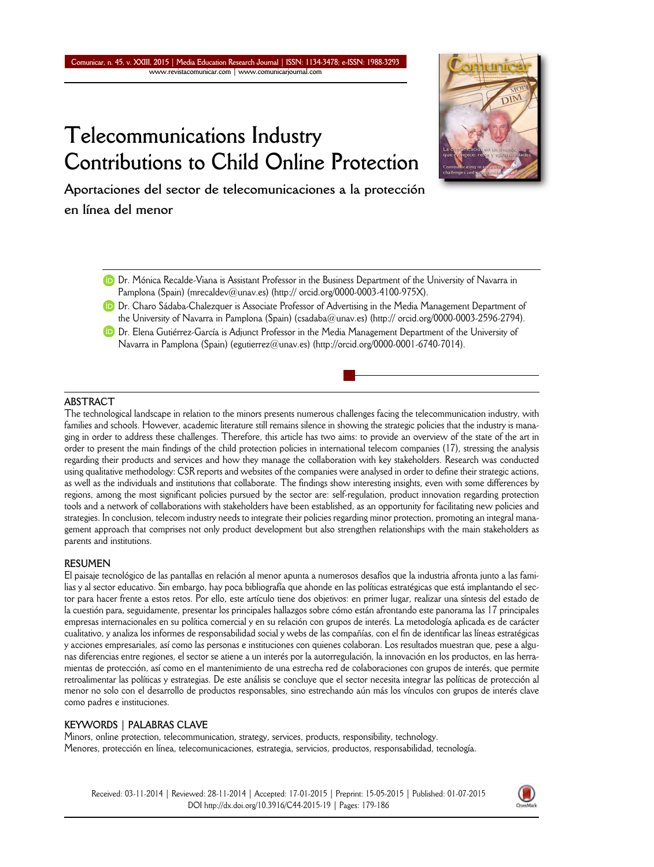# **Telecommunications Industry Contributions to Child Online Protection**



**Aportaciones del sector de telecomunicaciones a la protección en línea del menor**

- Dr. Mónica Recalde-Viana is Assistant Professor in the Business Department of the University of Navarra in Pamplona (Spain) (mrecaldev@unav.es) (http:// orcid.org/0000-0003-4100-975X).
- **D** Dr. Charo Sádaba-Chalezquer is Associate Professor of Advertising in the Media Management Department of the University of Navarra in Pamplona (Spain) (csadaba@unav.es) (http:// orcid.org/0000-0003-2596-2794).
- **D** Dr. Elena Gutiérrez-García is Adjunct Professor in the Media Management Department of the University of Navarra in Pamplona (Spain) (egutierrez@unav.es) (http://orcid.org/0000-0001-6740-7014).

### **ABSTRACT**

The technological landscape in relation to the minors presents numerous challenges facing the telecommunication industry, with families and schools. However, academic literature still remains silence in showing the strategic policies that the industry is managing in order to address these challenges. Therefore, this article has two aims: to provide an overview of the state of the art in order to present the main findings of the child protection policies in international telecom companies (17), stressing the analysis regarding their products and services and how they manage the collaboration with key stakeholders. Research was conducted using qualitative methodology: CSR reports and websites of the companies were analysed in order to define their strategic actions, as well as the individuals and institutions that collaborate. The findings show interesting insights, even with some differences by regions, among the most significant policies pursued by the sector are: self-regulation, product innovation regarding protection tools and a network of collaborations with stakeholders have been established, as an opportunity for facilitating new policies and strategies. In conclusion, telecom industry needs to integrate their policies regarding minor protection, promoting an integral management approach that comprises not only product development but also strengthen relationships with the main stakeholders as parents and institutions.

#### **RESUMEN**

El paisaje tecnológico de las pantallas en relación al menor apunta a numerosos desafíos que la industria afronta junto a las familias y al sector educativo. Sin embargo, hay poca bibliografía que ahonde en las políticas estratégicas que está implantando el sector para hacer frente a estos retos. Por ello, este artículo tiene dos objetivos: en primer lugar, realizar una síntesis del estado de la cuestión para, seguidamente, presentar los principales hallazgos sobre cómo están afrontando este panorama las 17 principales empresas internacionales en su política comercial y en su relación con grupos de interés. La metodología aplicada es de carácter cualitativo, y analiza los informes de responsabilidad social y webs de las compañías, con el fin de identificar las líneas estratégicas y acciones empresariales, así como las personas e instituciones con quienes colaboran. Los resultados muestran que, pese a algunas diferencias entre regiones, el sector se atiene a un interés por la autorregulación, la innovación en los productos, en las herramientas de protección, así como en el mantenimiento de una estrecha red de colaboraciones con grupos de interés, que permite retroalimentar las políticas y estrategias. De este análisis se concluye que el sector necesita integrar las políticas de protección al menor no solo con el desarrollo de productos responsables, sino estrechando aún más los vínculos con grupos de interés clave como padres e instituciones.

# **KEYWORDS | PALABRAS CLAVE**

Minors, online protection, telecommunication, strategy, services, products, responsibility, technology. Menores, protección en línea, telecomunicaciones, estrategia, servicios, productos, responsabilidad, tecnología.

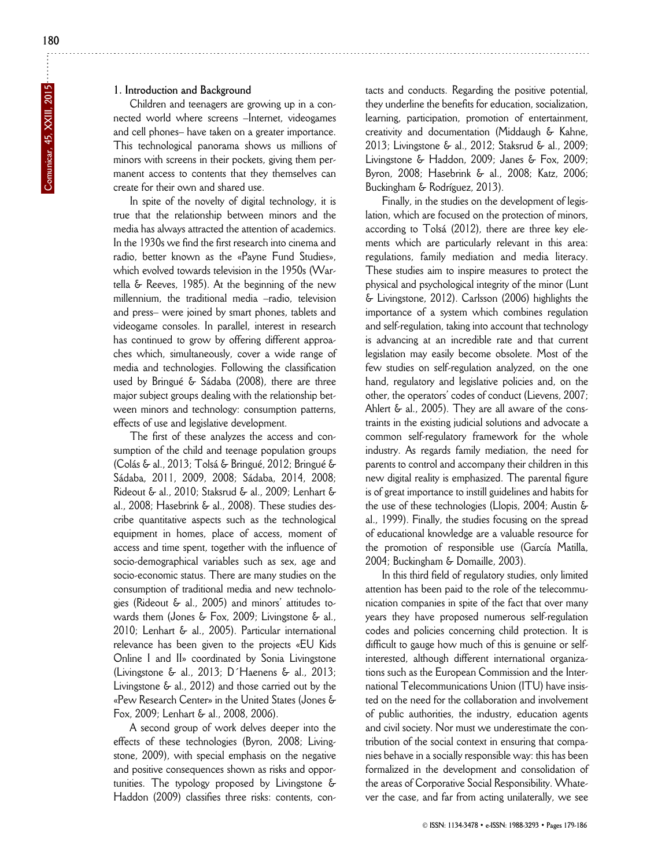## **1. Introduction and Background**

Children and teenagers are growing up in a connected world where screens –Internet, videogames and cell phones– have taken on a greater importance. This technological panorama shows us millions of minors with screens in their pockets, giving them permanent access to contents that they themselves can create for their own and shared use.

In spite of the novelty of digital technology, it is true that the relationship between minors and the media has always attracted the attention of academics. In the 1930s we find the first research into cinema and radio, better known as the «Payne Fund Studies», which evolved towards television in the 1950s (Wartella & Reeves, 1985). At the beginning of the new millennium, the traditional media –radio, television and press– were joined by smart phones, tablets and videogame consoles. In parallel, interest in research has continued to grow by offering different approaches which, simultaneously, cover a wide range of media and technologies. Following the classification used by Bringué & Sádaba (2008), there are three major subject groups dealing with the relationship between minors and technology: consumption patterns, effects of use and legislative development.

The first of these analyzes the access and consumption of the child and teenage population groups (Colás & al., 2013; Tolsá & Bringué, 2012; Bringué & Sádaba, 2011, 2009, 2008; Sádaba, 2014, 2008; Rideout & al., 2010; Staksrud & al., 2009; Lenhart & al., 2008; Hasebrink & al., 2008). These studies describe quantitative aspects such as the technological equipment in homes, place of access, moment of access and time spent, together with the influence of socio-demographical variables such as sex, age and socio-economic status. There are many studies on the consumption of traditional media and new technologies (Rideout & al., 2005) and minors' attitudes to wards them (Jones & Fox, 2009; Livingstone & al., 2010; Lenhart & al., 2005). Particular international relevance has been given to the projects «EU Kids Online I and II» coordinated by Sonia Livingstone (Livingstone & al., 2013; D´Haenens & al., 2013; Livingstone & al., 2012) and those carried out by the «Pew Research Center» in the United States (Jones & Fox, 2009; Lenhart & al., 2008, 2006).

A second group of work delves deeper into the effects of these technologies (Byron, 2008; Livingstone, 2009), with special emphasis on the negative and positive consequences shown as risks and opportunities. The typology proposed by Livingstone & Haddon (2009) classifies three risks: contents, contacts and conducts. Regarding the positive potential, they underline the benefits for education, socialization, learning, participation, promotion of entertainment, creativity and documentation (Middaugh & Kahne, 2013; Livingstone & al., 2012; Staksrud & al., 2009; Livingstone & Haddon, 2009; Janes & Fox, 2009; Byron, 2008; Hasebrink & al., 2008; Katz, 2006; Buckingham & Rodríguez, 2013).

Finally, in the studies on the development of legislation, which are focused on the protection of minors, according to Tolsá (2012), there are three key elements which are particularly relevant in this area: regulations, family mediation and media literacy. These studies aim to inspire measures to protect the physical and psychological integrity of the minor (Lunt & Livingstone, 2012). Carlsson (2006) highlights the importance of a system which combines regulation and self-regulation, taking into account that technology is advancing at an incredible rate and that current legislation may easily become obsolete. Most of the few studies on self-regulation analyzed, on the one hand, regulatory and legislative policies and, on the other, the operators' codes of conduct (Lievens, 2007; Ahlert  $\xi$  al., 2005). They are all aware of the constraints in the existing judicial solutions and advocate a common self-regulatory framework for the whole industry. As regards family mediation, the need for parents to control and accompany their children in this new digital reality is emphasized. The parental figure is of great importance to instill guidelines and habits for the use of these technologies (Llopis, 2004; Austin & al., 1999). Finally, the studies focusing on the spread of educational knowledge are a valuable resource for the promotion of responsible use (García Matilla, 2004; Buckingham & Domaille, 2003).

In this third field of regulatory studies, only limited attention has been paid to the role of the telecommunication companies in spite of the fact that over many years they have proposed numerous self-regulation codes and policies concerning child protection. It is difficult to gauge how much of this is genuine or selfinterested, although different international organizations such as the European Commission and the International Telecommunications Union (ITU) have insisted on the need for the collaboration and involvement of public authorities, the industry, education agents and civil society. Nor must we underestimate the contribution of the social context in ensuring that companies behave in a socially responsible way: this has been formalized in the development and consolidation of the areas of Corporative Social Responsibility. Whatever the case, and far from acting unilaterally, we see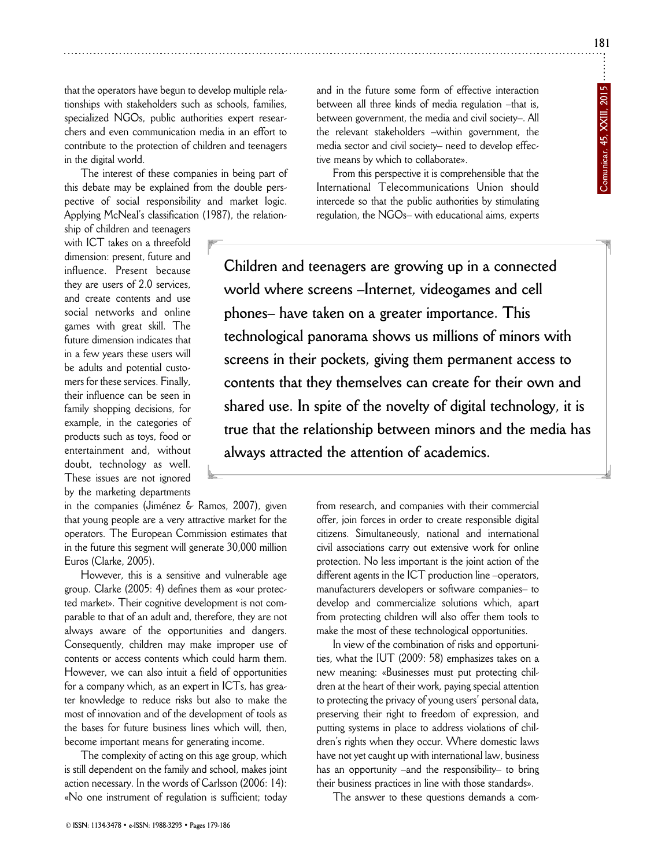that the operators have begun to develop multiple relationships with stakeholders such as schools, families, specialized NGOs, public authorities expert researchers and even communication media in an effort to contribute to the protection of children and teenagers in the digital world.

The interest of these companies in being part of this debate may be explained from the double perspective of social responsibility and market logic. Applying McNeal's classification (1987), the relation-

ship of children and teenagers with ICT takes on a threefold dimension: present, future and influence. Present because they are users of 2.0 services, and create contents and use social networks and online games with great skill. The future dimension indicates that in a few years these users will be adults and potential customers for these services. Finally, their influence can be seen in family shopping decisions, for example, in the categories of products such as toys, food or entertainment and, without doubt, technology as well. These issues are not ignored by the marketing departments

in the companies (Jiménez & Ramos, 2007), given that young people are a very attractive market for the operators. The European Commission estimates that in the future this segment will generate 30,000 million Euros (Clarke, 2005).

However, this is a sensitive and vulnerable age group. Clarke (2005: 4) defines them as «our protected market». Their cognitive development is not comparable to that of an adult and, therefore, they are not always aware of the opportunities and dangers. Consequently, children may make improper use of contents or access contents which could harm them. However, we can also intuit a field of opportunities for a company which, as an expert in ICTs, has greater knowledge to reduce risks but also to make the most of innovation and of the development of tools as the bases for future business lines which will, then, become important means for generating income.

The complexity of acting on this age group, which is still dependent on the family and school, makes joint action necessary. In the words of Carlsson (2006: 14): «No one instrument of regulation is sufficient; today and in the future some form of effective interaction between all three kinds of media regulation –that is, between government, the media and civil society–. All the relevant stakeholders –within government, the media sector and civil society– need to develop effective means by which to collaborate».

From this perspective it is comprehensible that the International Telecommunications Union should intercede so that the public authorities by stimulating regulation, the NGOs– with educational aims, experts

**Children and teenagers are growing up in a connected world where screens –Internet, videogames and cell phones– have taken on a greater importance. This technological panorama shows us millions of minors with screens in their pockets, giving them permanent access to contents that they themselves can create for their own and shared use. In spite of the novelty of digital technology, it is true that the relationship between minors and the media has always attracted the attention of academics.** 

> from research, and companies with their commercial offer, join forces in order to create responsible digital citizens. Simultaneously, national and international civil associations carry out extensive work for online protection. No less important is the joint action of the different agents in the ICT production line –operators, manufacturers developers or software companies– to develop and commercialize solutions which, apart from protecting children will also offer them tools to make the most of these technological opportunities.

> In view of the combination of risks and opportunities, what the IUT (2009: 58) emphasizes takes on a new meaning: «Businesses must put protecting children at the heart of their work, paying special attention to protecting the privacy of young users' personal data, preserving their right to freedom of expression, and putting systems in place to address violations of children's rights when they occur. Where domestic laws have not yet caught up with international law, business has an opportunity –and the responsibility– to bring their business practices in line with those standards».

The answer to these questions demands a com-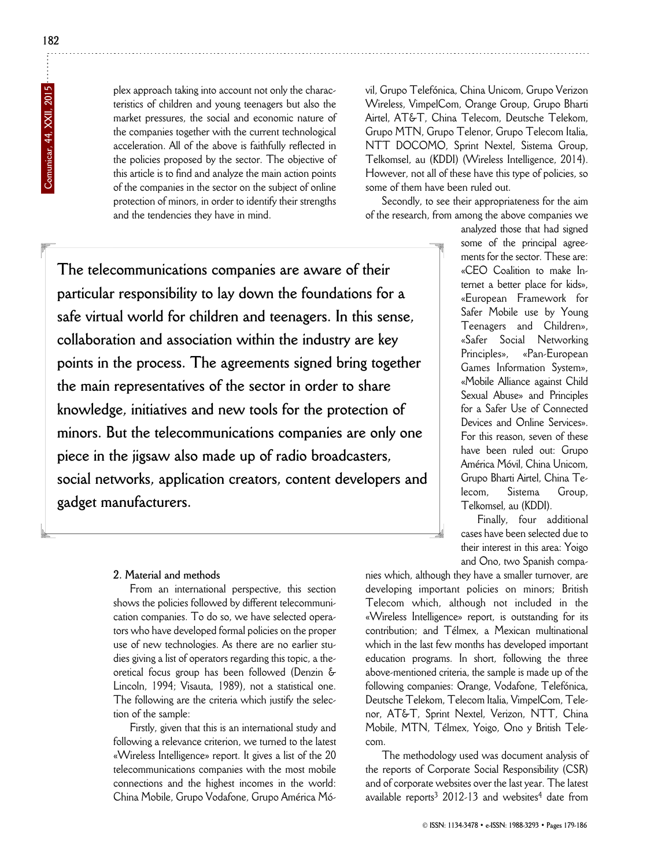plex approach taking into account not only the characteristics of children and young teenagers but also the market pressures, the social and economic nature of the companies together with the current technological acceleration. All of the above is faithfully reflected in the policies proposed by the sector. The objective of this article is to find and analyze the main action points of the companies in the sector on the subject of online protection of minors, in order to identify their strengths and the tendencies they have in mind.

vil, Grupo Telefónica, China Unicom, Grupo Verizon Wireless, VimpelCom, Orange Group, Grupo Bharti Airtel, AT&T, China Telecom, Deutsche Telekom, Grupo MTN, Grupo Telenor, Grupo Telecom Italia, NTT DOCOMO, Sprint Nextel, Sistema Group, Telkomsel, au (KDDI) (Wireless Intelligence, 2014). However, not all of these have this type of policies, so some of them have been ruled out.

Secondly, to see their appropriateness for the aim of the research, from among the above companies we

**The telecommunications companies are aware of their particular responsibility to lay down the foundations for a safe virtual world for children and teenagers. In this sense, collaboration and association within the industry are key points in the process. The agreements signed bring together the main representatives of the sector in order to share knowledge, initiatives and new tools for the protection of minors. But the telecommunications companies are only one piece in the jigsaw also made up of radio broadcasters, social networks, application creators, content developers and gadget manufacturers.** 

analyzed those that had signed some of the principal agreements for the sector. These are: «CEO Coalition to make Internet a better place for kids», «European Framework for Safer Mobile use by Young Teenagers and Children», «Safer Social Networking Principles», «Pan-European Games Information System», «Mobile Alliance against Child Sexual Abuse» and Principles for a Safer Use of Connected Devices and Online Services». For this reason, seven of these have been ruled out: Grupo América Móvil, China Unicom, Grupo Bharti Airtel, China Te lecom. Sistema Group. Telkom sel, au (KDDI).

Finally, four additional cases have been selected due to their interest in this area: Yoigo and Ono, two Spanish compa-

# **2. Material and methods**

From an international perspective, this section shows the policies followed by different telecommunication companies. To do so, we have selected operators who have developed formal policies on the proper use of new technologies. As there are no earlier studies giving a list of operators regarding this topic, a theoretical focus group has been followed (Denzin & Lincoln, 1994; Visauta, 1989), not a statistical one. The following are the criteria which justify the selection of the sample:

Firstly, given that this is an international study and following a relevance criterion, we turned to the latest «Wireless Intelligence» report. It gives a list of the 20 telecommunications companies with the most mobile connections and the highest incomes in the world: China Mobile, Grupo Vodafone, Grupo América Mó -

nies which, although they have a smaller turnover, are developing important policies on minors; British Telecom which, although not included in the «Wireless Intelligence» report, is outstanding for its contribution; and Télmex, a Mexican multinational which in the last few months has developed important education programs. In short, following the three above-mentioned criteria, the sample is made up of the following companies: Orange, Vodafone, Telefónica, Deutsche Telekom, Telecom Italia, VimpelCom, Telenor, AT&T, Sprint Nextel, Verizon, NTT, China Mobile, MTN, Télmex, Yoigo, Ono y British Telecom.

The methodology used was document analysis of the reports of Corporate Social Responsibility (CSR) and of corporate websites over the last year. The latest available reports<sup>3</sup> 2012-13 and websites<sup>4</sup> date from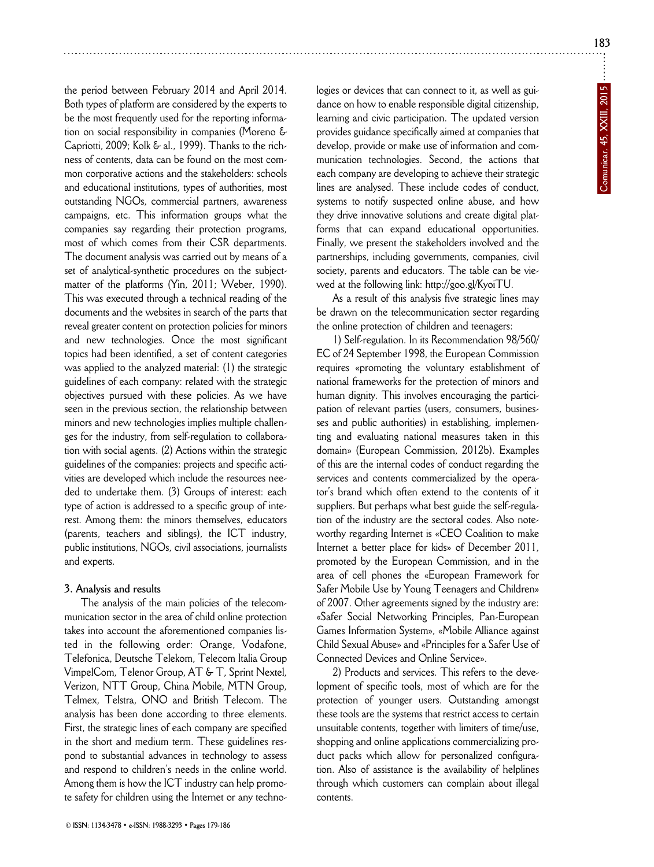**183**

the period between February 2014 and April 2014. Both types of platform are considered by the experts to be the most frequently used for the reporting information on social responsibility in companies (Moreno & Capriotti, 2009; Kolk & al., 1999). Thanks to the richness of contents, data can be found on the most common corporative actions and the stakeholders: schools and educational institutions, types of authorities, most outstanding NGOs, commercial partners, awareness campaigns, etc. This information groups what the companies say regarding their protection programs, most of which comes from their CSR departments. The document analysis was carried out by means of a set of analytical-synthetic procedures on the subjectmatter of the platforms (Yin, 2011; Weber, 1990). This was executed through a technical reading of the documents and the websites in search of the parts that reveal greater content on protection policies for minors and new technologies. Once the most significant topics had been identified, a set of content categories was applied to the analyzed material: (1) the strategic guidelines of each company: related with the strategic objectives pursued with these policies. As we have seen in the previous section, the relationship between minors and new technologies implies multiple challenges for the industry, from self-regulation to collaboration with social agents. (2) Actions within the strategic guidelines of the companies: projects and specific activities are developed which include the resources needed to undertake them. (3) Groups of interest: each type of action is addressed to a specific group of interest. Among them: the minors themselves, educators (parents, teachers and siblings), the ICT industry, public institutions, NGOs, civil associations, journalists and experts.

#### **3. Analysis and results**

The analysis of the main policies of the telecommunication sector in the area of child online protection takes into account the aforementioned companies listed in the following order: Orange, Vodafone, Telefonica, Deutsche Telekom, Telecom Italia Group VimpelCom, Telenor Group, AT & T, Sprint Nextel, Verizon, NTT Group, China Mobile, MTN Group, Telmex, Telstra, ONO and British Telecom. The analysis has been done according to three elements. First, the strategic lines of each company are specified in the short and medium term. These guidelines respond to substantial advances in technology to assess and respond to children's needs in the online world. Among them is how the ICT industry can help promote safety for children using the Internet or any techno-

© **ISSN: 1134-3478 • e-ISSN: 1988-3293 • Pages 179-186**

logies or devices that can connect to it, as well as guidance on how to enable responsible digital citizenship, learning and civic participation. The updated version provides guidance specifically aimed at companies that develop, provide or make use of information and communication technologies. Second, the actions that each company are developing to achieve their strategic lines are analysed. These include codes of conduct, systems to notify suspected online abuse, and how they drive innovative solutions and create digital platforms that can expand educational opportunities. Finally, we present the stakeholders involved and the partnerships, including governments, companies, civil society, parents and educators. The table can be viewed at the following link: http://goo.gl/KyoiTU.

As a result of this analysis five strategic lines may be drawn on the telecommunication sector regarding the online protection of children and teenagers:

1) Self-regulation. In its Recommendation 98/560/ EC of 24 September 1998, the European Commission requires «promoting the voluntary establishment of national frameworks for the protection of minors and human dignity. This involves encouraging the participation of relevant parties (users, consumers, businesses and public authorities) in establishing, implementing and evaluating national measures taken in this domain» (European Commission, 2012b). Examples of this are the internal codes of conduct regarding the services and contents commercialized by the operator's brand which often extend to the contents of it suppliers. But perhaps what best guide the self-regulation of the industry are the sectoral codes. Also noteworthy regarding Internet is «CEO Coalition to make Internet a better place for kids» of December 2011, promoted by the European Commission, and in the area of cell phones the «European Framework for Safer Mobile Use by Young Teenagers and Children» of 2007. Other agreements signed by the industry are: «Safer Social Networking Principles, Pan-European Games Information System», «Mobile Alliance against Child Sexual Abuse» and «Principles for a Safer Use of Connected Devices and Online Service».

2) Products and services. This refers to the development of specific tools, most of which are for the protection of younger users. Outstanding amongst these tools are the systems that restrict access to certain unsuitable contents, together with limiters of time/use, shopping and online applications commercializing product packs which allow for personalized configuration. Also of assistance is the availability of helplines through which customers can complain about illegal contents.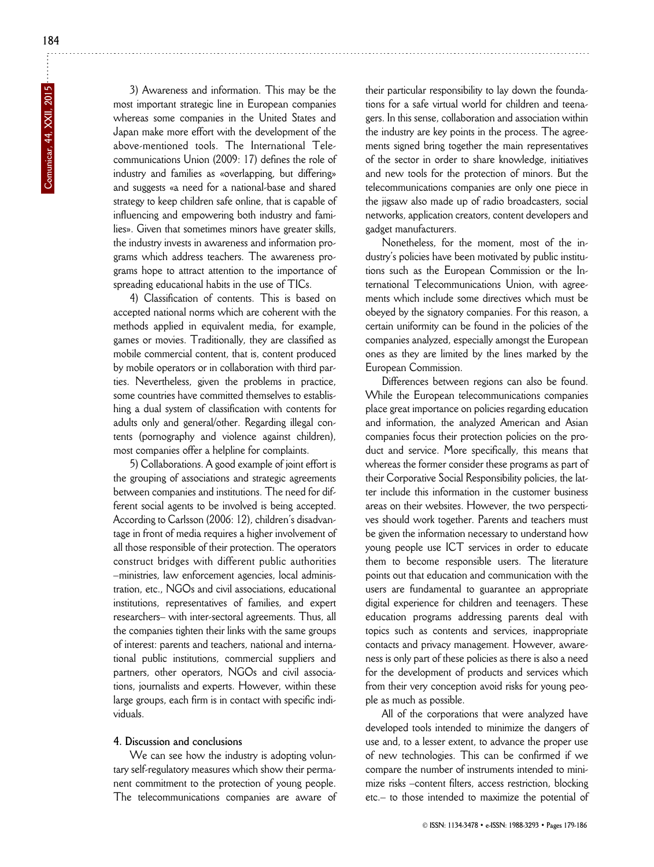3) Awareness and information. This may be the most important strategic line in European companies whereas some companies in the United States and Japan make more effort with the development of the above-mentioned tools. The International Telecommunications Union (2009: 17) defines the role of industry and families as «overlapping, but differing» and suggests «a need for a national-base and shared strategy to keep children safe online, that is capable of influencing and empowering both industry and families». Given that sometimes minors have greater skills, the industry invests in awareness and information programs which address teachers. The awareness programs hope to attract attention to the importance of spreading educational habits in the use of TICs.

4) Classification of contents. This is based on accepted national norms which are coherent with the methods applied in equivalent media, for example, games or movies. Traditionally, they are classified as mobile commercial content, that is, content produced by mobile operators or in collaboration with third parties. Nevertheless, given the problems in practice, some countries have committed themselves to establishing a dual system of classification with contents for adults only and general/other. Regarding illegal contents (pornography and violence against children), most companies offer a helpline for complaints.

5) Collaborations. A good example of joint effort is the grouping of associations and strategic agreements between companies and institutions. The need for different social agents to be involved is being accepted. According to Carlsson (2006: 12), children's disadvantage in front of media requires a higher involvement of all those responsible of their protection. The operators construct bridges with different public authorities –ministries, law enforcement agencies, local administration, etc., NGOs and civil associations, educational institutions, representatives of families, and expert researchers– with inter-sectoral agreements. Thus, all the companies tighten their links with the same groups of interest: parents and teachers, national and international public institutions, commercial suppliers and partners, other operators, NGOs and civil associations, journalists and experts. However, within these large groups, each firm is in contact with specific individuals.

# **4. Discussion and conclusions**

We can see how the industry is adopting voluntary self-regulatory measures which show their permanent commitment to the protection of young people. The telecommunications companies are aware of

their particular responsibility to lay down the foundations for a safe virtual world for children and teenagers. In this sense, collaboration and association within the industry are key points in the process. The agreements signed bring together the main representatives of the sector in order to share knowledge, initiatives and new tools for the protection of minors. But the telecommunications companies are only one piece in the jigsaw also made up of radio broadcasters, social networks, application creators, content developers and gadget manufacturers.

Nonetheless, for the moment, most of the industry's policies have been motivated by public institutions such as the European Commission or the International Telecommunications Union, with agreements which include some directives which must be obeyed by the signatory companies. For this reason, a certain uniformity can be found in the policies of the companies analyzed, especially amongst the European ones as they are limited by the lines marked by the European Commission.

Differences between regions can also be found. While the European telecommunications companies place great importance on policies regarding education and information, the analyzed American and Asian companies focus their protection policies on the product and service. More specifically, this means that whereas the former consider these programs as part of their Corporative Social Responsibility policies, the latter include this information in the customer business areas on their websites. However, the two perspectives should work together. Parents and teachers must be given the information necessary to understand how young people use ICT services in order to educate them to become responsible users. The literature points out that education and communication with the users are fundamental to guarantee an appropriate digital experience for children and teenagers. These education programs addressing parents deal with topics such as contents and services, inappropriate contacts and privacy management. However, awareness is only part of these policies as there is also a need for the development of products and services which from their very conception avoid risks for young people as much as possible.

All of the corporations that were analyzed have developed tools intended to minimize the dangers of use and, to a lesser extent, to advance the proper use of new technologies. This can be confirmed if we compare the number of instruments intended to minimize risks –content filters, access restriction, blocking etc.– to those intended to maximize the potential of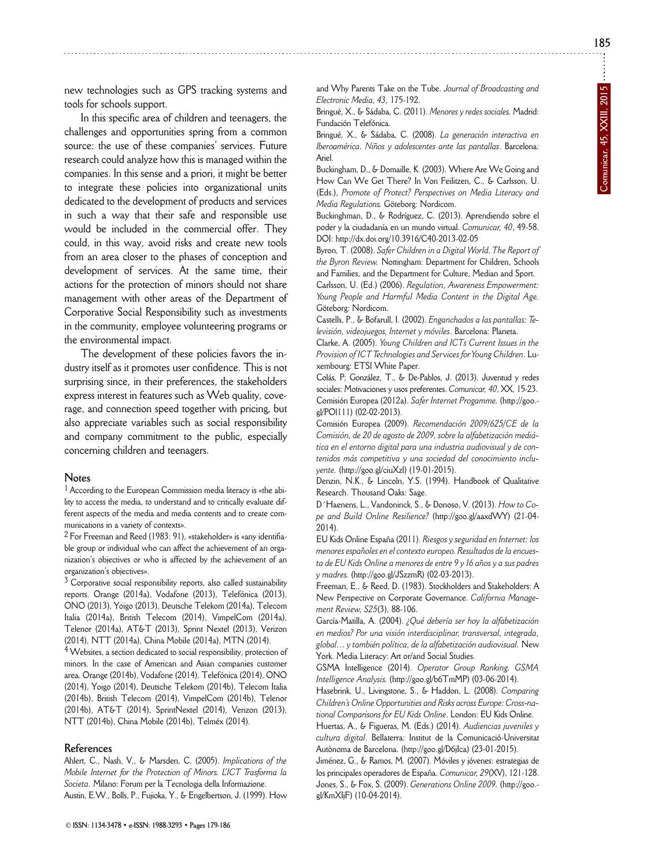**185**

new technologies such as GPS tracking systems and tools for schools support.

In this specific area of children and teenagers, the challenges and opportunities spring from a common source: the use of these companies' services. Future research could analyze how this is managed within the companies. In this sense and a priori, it might be better to integrate these policies into organizational units dedicated to the development of products and services in such a way that their safe and responsible use would be included in the commercial offer. They could, in this way, avoid risks and create new tools from an area closer to the phases of conception and development of services. At the same time, their actions for the protection of minors should not share management with other areas of the Department of Corporative Social Responsibility such as investments in the community, employee volunteering programs or the environmental impact.

The development of these policies favors the industry itself as it promotes user confidence. This is not surprising since, in their preferences, the stakeholders express interest in features such as Web quality, coverage, and connection speed together with pricing, but also appreciate variables such as social responsibility and company commitment to the public, especially concerning children and teenagers.

#### **Notes**

1 According to the European Commission media literacy is «the ability to access the media, to understand and to critically evaluate different aspects of the media and media contents and to create communications in a variety of contexts».

 $2$  For Freeman and Reed (1983: 91), «stakeholder» is «any identifiable group or individual who can affect the achievement of an organization's objectives or who is affected by the achievement of an organization's objectives».

<sup>3</sup> Corporative social responsibility reports, also called sustainability reports. Orange (2014a), Vodafone (2013), Telefónica (2013), ONO (2013), Yoigo (2013), Deutsche Telekom (2014a), Telecom Italia (2014a), British Telecom (2014), VimpelCom (2014a), Telenor (2014a), AT&T (2013), Sprint Nextel (2013), Verizon (2014), NTT (2014a), China Mobile (2014a), MTN (2014).

4 Websites, a section dedicated to social responsibility, protection of minors. In the case of American and Asian companies customer area. Orange (2014b), Vodafone (2014), Telefónica (2014), ONO (2014), Yoigo (2014), Deutsche Telekom (2014b), Telecom Italia (2014b), British Telecom (2014), VimpelCom (2014b), Telenor (2014b), AT&T (2014), SprintNextel (2014), Verizon (2013), NTT (2014b), China Mobile (2014b), Telméx (2014).

#### **References**

Ahlert, C., Nash, V., & Marsden, C. (2005). *Implications of the Mobile Internet for the Protection of Minors. L'ICT Trasforma la Societa.* Milano: Forum per la Tecnologia della Informazione. Austin, E.W., Bolls, P., Fujioka, Y., & Engelbertson, J. (1999). How and Why Parents Take on the Tube. Journal of Broadcasting and *Electronic Media, 43,* 175-192.

Bringué, X., & Sádaba, C. (2011). *Menores y redes sociales.* Madrid: Fundación Telefónica.

Bringué, X., & Sádaba, C. (2008). *La generación interactiva en Iberoamérica. Niños y adolescentes ante las pantallas*. Barcelona: Ariel.

Buckingham, D., & Domaille, K. (2003). Where Are We Going and How Can We Get There? In Von Feilitzen, C., & Carlsson, U. (Eds.), *Promote of Protect? Perspectives on Media Literacy and Media Regulations.* Göteborg: Nordicom.

Buckinghman, D., & Rodríguez, C. (2013). Aprendiendo sobre el poder y la ciudadanía en un mundo virtual. *Comunicar, 40*, 49-58. DOI: http://dx.doi.org/10.3916/C40-2013-02-05

Byron, T. (2008). *Safer Children in a Digital World. The Report of the Byron Review.* Nottingham: Department for Children, Schools and Families, and the Department for Culture, Median and Sport.

Carlsson, U. (Ed.) (2006). *Regulation, Awareness Empowerment: Young People and Harmful Media Content in the Digital Age.* Göteborg: Nordicom.

Castells, P., & Bofarull, I. (2002). *Enganchados a las pantallas: Te levisión, videojuegos, Internet y móviles*. Barcelona: Planeta.

Clarke, A. (2005). *Young Children and ICTs Current Issues in the Provision of ICT Technologies and Services for Young Children*. Lu xembourg: ETSI White Paper.

Colás, P; González, T., & De-Pablos, J. (2013). Juventud y redes sociales: Motivaciones y usos preferentes. *Comunicar, 40*, XX, 15-23. Comisión Europea (2012a). *Safer Internet Progamme.* (http://goo. gl/POl111) (02-02-2013).

Comisión Europea (2009). *Recomendación 2009/625/CE de la Comisión, de 20 de agosto de 2009, sobre la alfabetización mediática en el entorno digital para una industria audiovisual y de contenidos más competitiva y una sociedad del conocimiento incluyente.* (http://goo.gl/ciuXzl) (19-01-2015).

Denzin, N.K., & Lincoln, Y.S. (1994). Handbook of Qualitative Research. Thousand Oaks: Sage.

D´Haenens, L., Vandoninck, S., & Donoso, V. (2013). *How to Co pe and Build Online Resilience?* (http://goo.gl/aaxdWY) (21-04- 2014).

EU Kids Online España (2011). *Riesgos y seguridad en Internet: los menores españoles en el contexto europeo. Resultados de la encuesta de EU Kids Online a menores de entre 9 y 16 años y a sus padres y madres.* (http://goo.gl/JSzzmR) (02-03-2013).

Freeman, E., & Reed, D. (1983). Stockholders and Stakeholders: A New Perspective on Corporate Governance. *California Management Review, S25*(3), 88-106.

García-Matilla, A. (2004). *¿Qué debería ser hoy la alfabetización en medios? Por una visión interdisciplinar, transversal, integrada, global… y también política, de la alfabetización audiovisual.* New York. Media Literacy: Art or/and Social Studies.

GSMA Intelligence (2014). *Operator Group Ranking. GSMA Intelligence Analysis.* (http://goo.gl/b6TmMP) (03-06-2014).

Hasebrink, U., Livingstone, S., & Haddon, L. (2008). *Comparing Children's Online Opportunities and Risks across Europe: Cross-na*  tional Comparisons for EU Kids Online. London: EU Kids Online.

Huertas, A., & Figueras, M. (Eds.) (2014). *Audiencias juveniles y cultura digital*. Bellaterra: Institut de la Comunicació-Universitat Autònoma de Barcelona. (http://goo.gl/D6jIca) (23-01-2015).

Jiménez, G., & Ramos, M. (2007). Móviles y jóvenes: estrategias de los principales operadores de España. *Comunicar, 29*(XV), 121-128. Jones, S., & Fox, S. (2009). *Generations Online 2009.* (http://goo. gl/KmXIjF) (10-04-2014).